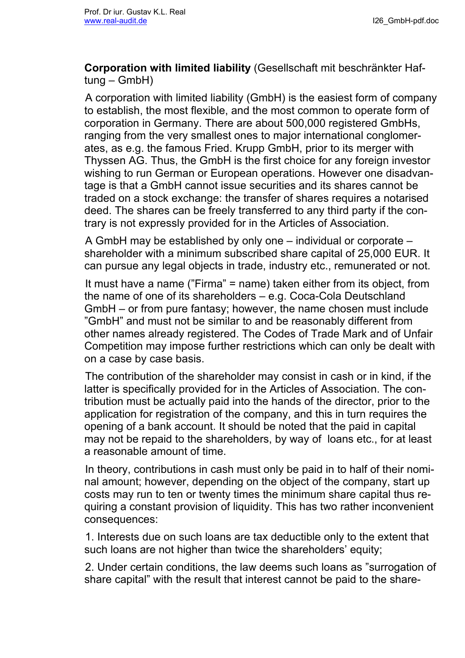**Corporation with limited liability** (Gesellschaft mit beschränkter Haftung – GmbH)

A corporation with limited liability (GmbH) is the easiest form of company to establish, the most flexible, and the most common to operate form of corporation in Germany. There are about 500,000 registered GmbHs, ranging from the very smallest ones to major international conglomerates, as e.g. the famous Fried. Krupp GmbH, prior to its merger with Thyssen AG. Thus, the GmbH is the first choice for any foreign investor wishing to run German or European operations. However one disadvantage is that a GmbH cannot issue securities and its shares cannot be traded on a stock exchange: the transfer of shares requires a notarised deed. The shares can be freely transferred to any third party if the contrary is not expressly provided for in the Articles of Association.

A GmbH may be established by only one – individual or corporate – shareholder with a minimum subscribed share capital of 25,000 EUR. It can pursue any legal objects in trade, industry etc., remunerated or not.

It must have a name ("Firma" = name) taken either from its object, from the name of one of its shareholders – e.g. Coca-Cola Deutschland GmbH – or from pure fantasy; however, the name chosen must include "GmbH" and must not be similar to and be reasonably different from other names already registered. The Codes of Trade Mark and of Unfair Competition may impose further restrictions which can only be dealt with on a case by case basis.

The contribution of the shareholder may consist in cash or in kind, if the latter is specifically provided for in the Articles of Association. The contribution must be actually paid into the hands of the director, prior to the application for registration of the company, and this in turn requires the opening of a bank account. It should be noted that the paid in capital may not be repaid to the shareholders, by way of loans etc., for at least a reasonable amount of time.

In theory, contributions in cash must only be paid in to half of their nominal amount; however, depending on the object of the company, start up costs may run to ten or twenty times the minimum share capital thus requiring a constant provision of liquidity. This has two rather inconvenient consequences:

1. Interests due on such loans are tax deductible only to the extent that such loans are not higher than twice the shareholders' equity;

2. Under certain conditions, the law deems such loans as "surrogation of share capital" with the result that interest cannot be paid to the share